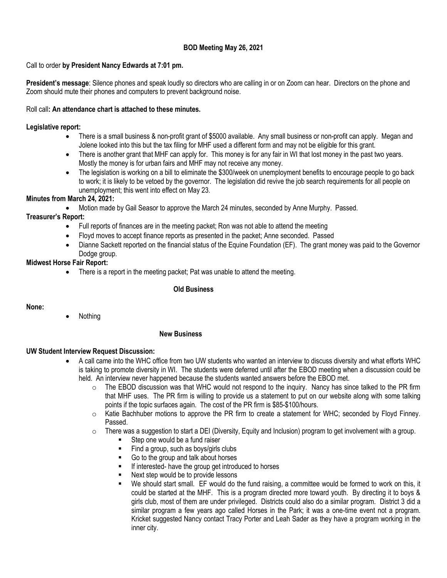# **BOD Meeting May 26, 2021**

### Call to order **by President Nancy Edwards at 7:01 pm.**

**President's message**: Silence phones and speak loudly so directors who are calling in or on Zoom can hear. Directors on the phone and Zoom should mute their phones and computers to prevent background noise.

#### Roll call**: An attendance chart is attached to these minutes.**

#### **Legislative report:**

- There is a small business & non-profit grant of \$5000 available. Any small business or non-profit can apply. Megan and Jolene looked into this but the tax filing for MHF used a different form and may not be eligible for this grant.
- There is another grant that MHF can apply for. This money is for any fair in WI that lost money in the past two years. Mostly the money is for urban fairs and MHF may not receive any money.
- The legislation is working on a bill to eliminate the \$300/week on unemployment benefits to encourage people to go back to work; it is likely to be vetoed by the governor. The legislation did revive the job search requirements for all people on unemployment; this went into effect on May 23.

### **Minutes from March 24, 2021:**

• Motion made by Gail Seasor to approve the March 24 minutes, seconded by Anne Murphy. Passed.

# **Treasurer's Report:**

- Full reports of finances are in the meeting packet; Ron was not able to attend the meeting
- Floyd moves to accept finance reports as presented in the packet; Anne seconded. Passed
- Dianne Sackett reported on the financial status of the Equine Foundation (EF). The grant money was paid to the Governor Dodge group.

# **Midwest Horse Fair Report:**

• There is a report in the meeting packet; Pat was unable to attend the meeting.

## **Old Business**

### **None:**

• Nothing

### **New Business**

### **UW Student Interview Request Discussion:**

- A call came into the WHC office from two UW students who wanted an interview to discuss diversity and what efforts WHC is taking to promote diversity in WI. The students were deferred until after the EBOD meeting when a discussion could be held. An interview never happened because the students wanted answers before the EBOD met.
	- $\circ$  The EBOD discussion was that WHC would not respond to the inquiry. Nancy has since talked to the PR firm that MHF uses. The PR firm is willing to provide us a statement to put on our website along with some talking points if the topic surfaces again. The cost of the PR firm is \$85-\$100/hours.
	- o Katie Bachhuber motions to approve the PR firm to create a statement for WHC; seconded by Floyd Finney. Passed.
	- $\circ$  There was a suggestion to start a DEI (Diversity, Equity and Inclusion) program to get involvement with a group.
		- Step one would be a fund raiser
		- Find a group, such as boys/girls clubs
		- Go to the group and talk about horses
		- If interested- have the group get introduced to horses
		- Next step would be to provide lessons
		- We should start small. EF would do the fund raising, a committee would be formed to work on this, it could be started at the MHF. This is a program directed more toward youth. By directing it to boys & girls club, most of them are under privileged. Districts could also do a similar program. District 3 did a similar program a few years ago called Horses in the Park; it was a one-time event not a program. Kricket suggested Nancy contact Tracy Porter and Leah Sader as they have a program working in the inner city.